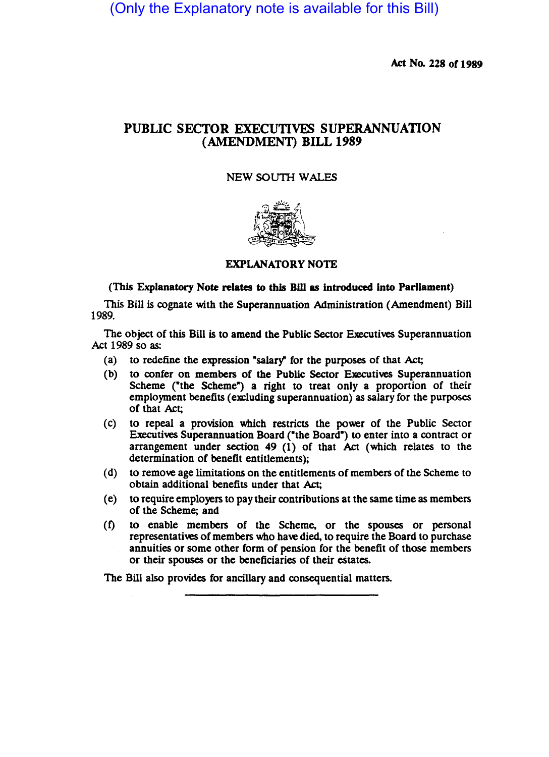(Only the Explanatory note is available for this Bill)

Act No. 228 of 1989

## PUBLIC SECTOR EXECUTIVES SUPERANNUATION (AMENDMENT) BILL 1989

## NEW SOUTH WALES



EXPLANATORY NOTE

## (This Explanatory Note relates to this Bill as introduced into Parliament)

This Bill is cognate with the Superannuation Administration (Amendment) Bill 1989.

The object of this Bill is to amend the Public Sector Executives Superannuation Act 1989 so as:

- (a) to redefine the expression "salary" for the purposes of that Act;
- (b) to confer on members of the Public Sector Executives Superannuation Scheme ("the Scheme") a right to treat only a proportion of their employment benefits (excluding superannuation) as salary for the purposes of that Act;
- (c) to repeal a provision which restricts the power of the Public Sector Executives Superannuation Board ("the Board") to enter into a contract or arrangement under section 49 (1) of that Act (which relates to the determination of benefit entitlements);
- (d) to remove age limitations on the entitlements of members of the Scheme to obtain additional benefits under that Act;
- (e) to require employers to pay their contributions at the same time as members of the Scheme; and
- (t) to enable members of the Scheme. or the spouses or personal representatives of members who have died, to require the Board to purchase annuities or some other form of pension for the benefit of those members or their spouses or the beneficiaries of their estates.

The Bill also provides for ancillary and consequential matters.